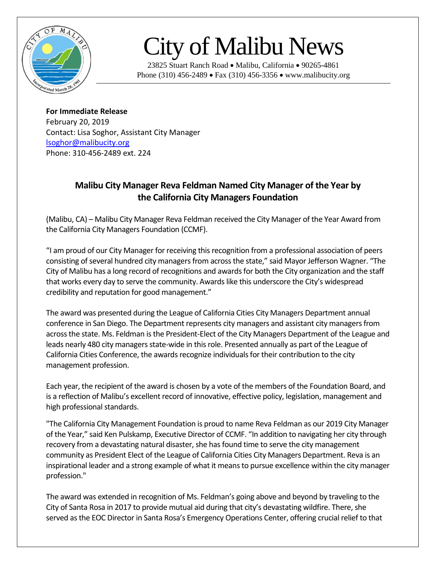

## City of Malibu News

23825 Stuart Ranch Road • Malibu, California • 90265-4861 Phone (310) 456-2489 • Fax (310) 456-3356 • www.malibucity.org

**For Immediate Release** February 20, 2019 Contact: Lisa Soghor, Assistant City Manager [lsoghor@malibucity.org](mailto:lsoghor@malibucity.org) Phone: 310-456-2489 ext. 224

## **Malibu City Manager Reva Feldman Named City Manager of the Year by the California City Managers Foundation**

(Malibu, CA) – Malibu City Manager Reva Feldman received the City Manager of the Year Award from the California City Managers Foundation (CCMF).

"I am proud of our City Manager for receiving this recognition from a professional association of peers consisting of several hundred city managers from across the state," said Mayor Jefferson Wagner. "The City of Malibu has a long record of recognitions and awards for both the City organization and the staff that works every day to serve the community. Awards like this underscore the City's widespread credibility and reputation for good management."

The award was presented during the League of California Cities City Managers Department annual conference in San Diego. The Department represents city managers and assistant city managers from across the state. Ms. Feldman is the President-Elect of the City Managers Department of the League and leads nearly 480 city managers state-wide in this role. Presented annually as part of the League of California Cities Conference, the awards recognize individuals for their contribution to the city management profession.

Each year, the recipient of the award is chosen by a vote of the members of the Foundation Board, and is a reflection of Malibu's excellent record of innovative, effective policy, legislation, management and high professional standards.

"The California City Management Foundation is proud to name Reva Feldman as our 2019 City Manager of the Year," said Ken Pulskamp, Executive Director of CCMF. "In addition to navigating her city through recovery from a devastating natural disaster, she has found time to serve the city management community as President Elect of the League of California Cities City Managers Department. Reva is an inspirational leader and a strong example of what it means to pursue excellence within the city manager profession."

The award was extended in recognition of Ms. Feldman's going above and beyond by traveling to the City of Santa Rosa in 2017 to provide mutual aid during that city's devastating wildfire. There, she served as the EOC Director in Santa Rosa's Emergency Operations Center, offering crucial relief to that